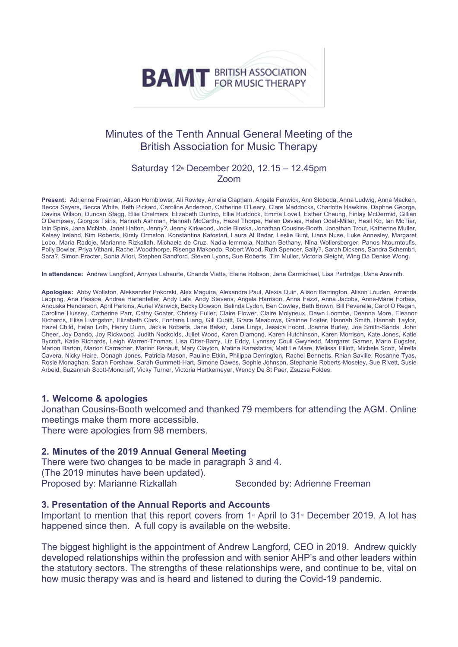# **BAMT** BRITISH ASSOCIATION

## Minutes of the Tenth Annual General Meeting of the British Association for Music Therapy

#### Saturday  $12<sup>*</sup>$  December 2020, 12.15 – 12.45pm Zoom

**Present:** Adrienne Freeman, Alison Hornblower, Ali Rowley, Amelia Clapham, Angela Fenwick, Ann Sloboda, Anna Ludwig, Anna Macken, Becca Sayers, Becca White, Beth Pickard, Caroline Anderson, Catherine O'Leary, Clare Maddocks, Charlotte Hawkins, Daphne George, Davina Wilson, Duncan Stagg, Ellie Chalmers, Elizabeth Dunlop, Ellie Ruddock, Emma Lovell, Esther Cheung, Finlay McDermid, Gillian O'Dempsey, Giorgos Tsiris, Hannah Ashman, Hannah McCarthy, Hazel Thorpe, Helen Davies, Helen Odell-Miller, Hesil Ko, Ian McTier, Iain Spink, Jana McNab, Janet Halton, Jenny?, Jenny Kirkwood, Jodie Bloska, Jonathan Cousins-Booth, Jonathan Trout, Katherine Muller, Kelsey Ireland, Kim Roberts, Kirsty Ormston, Konstantina Katostari, Laura Al Badar, Leslie Bunt, Liana Nuse, Luke Annesley, Margaret Lobo, Maria Radoje, Marianne Rizkallah, Michaela de Cruz, Nadia Iemmola, Nathan Bethany, Nina Wollersberger, Panos Ntourntoufis, Polly Bowler, Priya Vithani, Rachel Woodthorpe, Risenga Makondo, Robert Wood, Ruth Spencer, Sally?, Sarah Dickens, Sandra Schembri, Sara?, Simon Procter, Sonia Allori, Stephen Sandford, Steven Lyons, Sue Roberts, Tim Muller, Victoria Sleight, Wing Da Denise Wong.

**In attendance:** Andrew Langford, Annyes Laheurte, Chanda Viette, Elaine Robson, Jane Carmichael, Lisa Partridge, Usha Aravinth.

**Apologies:** Abby Wollston, Aleksander Pokorski, Alex Maguire, Alexandra Paul, Alexia Quin, Alison Barrington, Alison Louden, Amanda Lapping, Ana Pessoa, Andrea Hartenfeller, Andy Lale, Andy Stevens, Angela Harrison, Anna Fazzi, Anna Jacobs, Anne-Marie Forbes, Anouska Henderson, April Parkins, Auriel Warwick, Becky Dowson, Belinda Lydon, Ben Cowley, Beth Brown, Bill Peverelle, Carol O'Regan, Caroline Hussey, Catherine Parr, Cathy Goater, Chrissy Fuller, Claire Flower, Claire Molyneux, Dawn Loombe, Deanna More, Eleanor Richards, Elise Livingston, Elizabeth Clark, Fontane Liang, Gill Cubitt, Grace Meadows, Grainne Foster, Hannah Smith, Hannah Taylor, Hazel Child, Helen Loth, Henry Dunn, Jackie Robarts, Jane Baker, Jane Lings, Jessica Foord, Joanna Burley, Joe Smith-Sands, John Cheer, Joy Dando, Joy Rickwood, Judith Nockolds, Juliet Wood, Karen Diamond, Karen Hutchinson, Karen Morrison, Kate Jones, Katie Bycroft, Katie Richards, Leigh Warren-Thomas, Lisa Otter-Barry, Liz Eddy, Lynnsey Coull Gwynedd, Margaret Garner, Mario Eugster, Marion Barton, Marion Carracher, Marion Renault, Mary Clayton, Matina Karastatira, Matt Le Mare, Melissa Elliott, Michele Scott, Mirella Cavera, Nicky Haire, Oonagh Jones, Patricia Mason, Pauline Etkin, Philippa Derrington, Rachel Bennetts, Rhian Saville, Rosanne Tyas, Rosie Monaghan, Sarah Forshaw, Sarah Gummett-Hart, Simone Dawes, Sophie Johnson, Stephanie Roberts-Moseley, Sue Rivett, Susie Arbeid, Suzannah Scott-Moncrieff, Vicky Turner, Victoria Hartkemeyer, Wendy De St Paer, Zsuzsa Foldes.

#### **1. Welcome & apologies**

Jonathan Cousins-Booth welcomed and thanked 79 members for attending the AGM. Online meetings make them more accessible.

There were apologies from 98 members.

#### **2. Minutes of the 2019 Annual General Meeting**

1. There were two changes to be made in paragraph 3 and 4. 2. (The 2019 minutes have been updated). 3. Proposed by: Marianne Rizkallah Seconded by: Adrienne Freeman

#### **3. Presentation of the Annual Reports and Accounts**

Important to mention that this report covers from  $1$ <sup>st</sup> April to  $31$ <sup>st</sup> December 2019. A lot has happened since then. A full copy is available on the website.

The biggest highlight is the appointment of Andrew Langford, CEO in 2019. Andrew quickly developed relationships within the profession and with senior AHP's and other leaders within the statutory sectors. The strengths of these relationships were, and continue to be, vital on how music therapy was and is heard and listened to during the Covid-19 pandemic.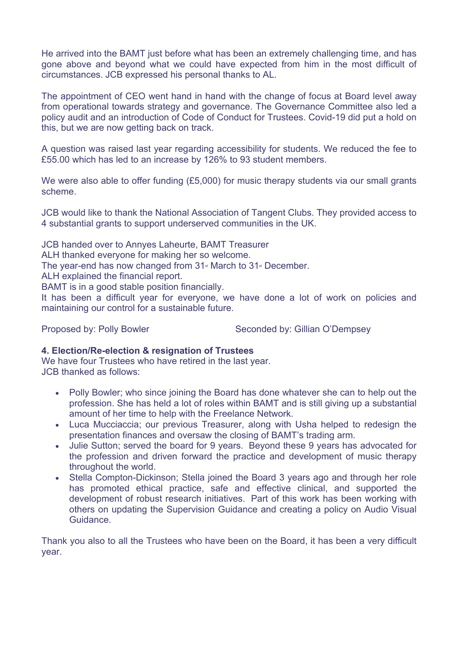He arrived into the BAMT just before what has been an extremely challenging time, and has gone above and beyond what we could have expected from him in the most difficult of circumstances. JCB expressed his personal thanks to AL.

The appointment of CEO went hand in hand with the change of focus at Board level away from operational towards strategy and governance. The Governance Committee also led a policy audit and an introduction of Code of Conduct for Trustees. Covid-19 did put a hold on this, but we are now getting back on track.

A question was raised last year regarding accessibility for students. We reduced the fee to £55.00 which has led to an increase by 126% to 93 student members.

We were also able to offer funding  $(E5,000)$  for music therapy students via our small grants scheme.

JCB would like to thank the National Association of Tangent Clubs. They provided access to 4 substantial grants to support underserved communities in the UK.

JCB handed over to Annyes Laheurte, BAMT Treasurer ALH thanked everyone for making her so welcome. The year-end has now changed from  $31$ <sup>s</sup> March to  $31$ <sup>s</sup> December. ALH explained the financial report. BAMT is in a good stable position financially. It has been a difficult year for everyone, we have done a lot of work on policies and maintaining our control for a sustainable future.

Proposed by: Polly Bowler Seconded by: Gillian O'Dempsey

### **4. Election/Re-election & resignation of Trustees**

We have four Trustees who have retired in the last year. JCB thanked as follows:

- Polly Bowler; who since joining the Board has done whatever she can to help out the profession. She has held a lot of roles within BAMT and is still giving up a substantial amount of her time to help with the Freelance Network.
- Luca Mucciaccia; our previous Treasurer, along with Usha helped to redesign the presentation finances and oversaw the closing of BAMT's trading arm.
- Julie Sutton; served the board for 9 years. Beyond these 9 years has advocated for the profession and driven forward the practice and development of music therapy throughout the world.
- Stella Compton-Dickinson; Stella joined the Board 3 years ago and through her role has promoted ethical practice, safe and effective clinical, and supported the development of robust research initiatives. Part of this work has been working with others on updating the Supervision Guidance and creating a policy on Audio Visual Guidance.

Thank you also to all the Trustees who have been on the Board, it has been a very difficult year.